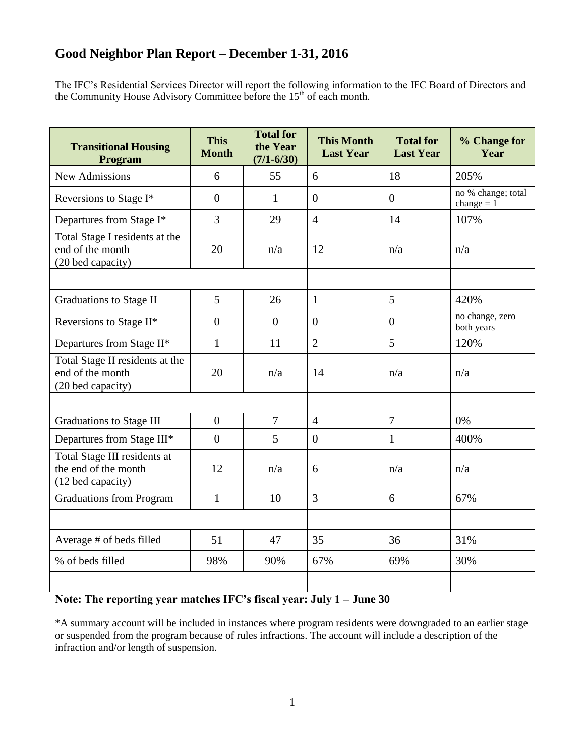The IFC's Residential Services Director will report the following information to the IFC Board of Directors and the Community House Advisory Committee before the  $15<sup>th</sup>$  of each month.

| <b>Transitional Housing</b><br>Program                                    | <b>This</b><br><b>Month</b> | <b>Total for</b><br>the Year<br>$(7/1 - 6/30)$ | <b>This Month</b><br><b>Last Year</b> | <b>Total for</b><br><b>Last Year</b> | % Change for<br>Year               |
|---------------------------------------------------------------------------|-----------------------------|------------------------------------------------|---------------------------------------|--------------------------------------|------------------------------------|
| <b>New Admissions</b>                                                     | 6                           | 55                                             | 6                                     | 18                                   | 205%                               |
| Reversions to Stage I*                                                    | $\overline{0}$              | $\mathbf{1}$                                   | $\overline{0}$                        | $\overline{0}$                       | no % change; total<br>change $= 1$ |
| Departures from Stage I*                                                  | 3                           | 29                                             | $\overline{4}$                        | 14                                   | 107%                               |
| Total Stage I residents at the<br>end of the month<br>(20 bed capacity)   | 20                          | n/a                                            | 12                                    | n/a                                  | n/a                                |
|                                                                           |                             |                                                |                                       |                                      |                                    |
| Graduations to Stage II                                                   | 5                           | 26                                             | $\mathbf{1}$                          | 5                                    | 420%                               |
| Reversions to Stage II*                                                   | $\overline{0}$              | $\overline{0}$                                 | $\overline{0}$                        | $\overline{0}$                       | no change, zero<br>both years      |
| Departures from Stage II*                                                 | $\mathbf{1}$                | 11                                             | $\overline{2}$                        | 5                                    | 120%                               |
| Total Stage II residents at the<br>end of the month<br>(20 bed capacity)  | 20                          | n/a                                            | 14                                    | n/a                                  | n/a                                |
|                                                                           |                             |                                                |                                       |                                      |                                    |
| <b>Graduations to Stage III</b>                                           | $\overline{0}$              | $\overline{7}$                                 | $\overline{4}$                        | $\overline{7}$                       | 0%                                 |
| Departures from Stage III*                                                | $\overline{0}$              | 5                                              | $\overline{0}$                        | 1                                    | 400%                               |
| Total Stage III residents at<br>the end of the month<br>(12 bed capacity) | 12                          | n/a                                            | 6                                     | n/a                                  | n/a                                |
| <b>Graduations from Program</b>                                           | $\mathbf{1}$                | 10                                             | $\overline{3}$                        | 6                                    | 67%                                |
|                                                                           |                             |                                                |                                       |                                      |                                    |
| Average # of beds filled                                                  | 51                          | 47                                             | 35                                    | 36                                   | 31%                                |
| % of beds filled                                                          | 98%                         | 90%                                            | 67%                                   | 69%                                  | 30%                                |
|                                                                           |                             |                                                |                                       |                                      |                                    |

# **Note: The reporting year matches IFC's fiscal year: July 1 – June 30**

\*A summary account will be included in instances where program residents were downgraded to an earlier stage or suspended from the program because of rules infractions. The account will include a description of the infraction and/or length of suspension.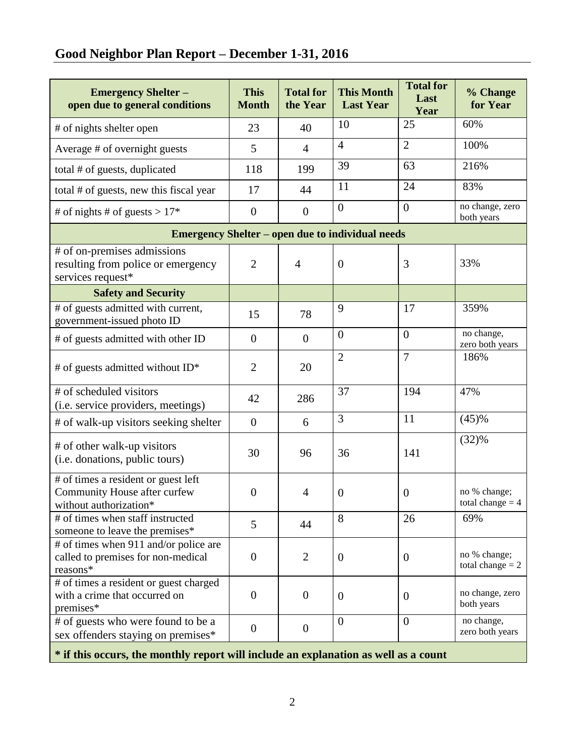# **Good Neighbor Plan Report – December 1-31, 2016**

| <b>Emergency Shelter -</b><br>open due to general conditions                                  | <b>This</b><br><b>Month</b> | <b>Total for</b><br>the Year | <b>This Month</b><br><b>Last Year</b> | <b>Total for</b><br>Last<br>Year | % Change<br>for Year               |  |  |  |  |
|-----------------------------------------------------------------------------------------------|-----------------------------|------------------------------|---------------------------------------|----------------------------------|------------------------------------|--|--|--|--|
| # of nights shelter open                                                                      | 23                          | 40                           | 10                                    | 25                               | 60%                                |  |  |  |  |
| Average # of overnight guests                                                                 | 5                           | $\overline{4}$               | $\overline{4}$                        | $\overline{2}$                   | 100%                               |  |  |  |  |
| total # of guests, duplicated                                                                 | 118                         | 199                          | 39                                    | 63                               | 216%                               |  |  |  |  |
| total # of guests, new this fiscal year                                                       | 17                          | 44                           | 11                                    | 24                               | 83%                                |  |  |  |  |
| # of nights # of guests > $17*$                                                               | $\boldsymbol{0}$            | $\boldsymbol{0}$             | $\overline{0}$                        | $\overline{0}$                   | no change, zero<br>both years      |  |  |  |  |
| <b>Emergency Shelter – open due to individual needs</b>                                       |                             |                              |                                       |                                  |                                    |  |  |  |  |
| # of on-premises admissions<br>resulting from police or emergency<br>services request*        | $\overline{2}$              | $\overline{4}$               | $\overline{0}$                        | 3                                | 33%                                |  |  |  |  |
| <b>Safety and Security</b>                                                                    |                             |                              |                                       |                                  |                                    |  |  |  |  |
| # of guests admitted with current,<br>government-issued photo ID                              | 15                          | 78                           | 9                                     | 17                               | 359%                               |  |  |  |  |
| # of guests admitted with other ID                                                            | $\overline{0}$              | $\overline{0}$               | $\overline{0}$                        | $\overline{0}$                   | no change,<br>zero both years      |  |  |  |  |
| # of guests admitted without $ID^*$                                                           | $\overline{2}$              | 20                           | $\overline{2}$                        | $\overline{7}$                   | 186%                               |  |  |  |  |
| # of scheduled visitors<br>(i.e. service providers, meetings)                                 | 42                          | 286                          | 37                                    | 194                              | 47%                                |  |  |  |  |
| # of walk-up visitors seeking shelter                                                         | $\overline{0}$              | 6                            | 3                                     | 11                               | (45)%                              |  |  |  |  |
| # of other walk-up visitors<br>(i.e. donations, public tours)                                 | 30                          | 96                           | 36                                    | 141                              | (32)%                              |  |  |  |  |
| # of times a resident or guest left<br>Community House after curfew<br>without authorization* | $\theta$                    | $\overline{4}$               | $\boldsymbol{0}$                      | $\theta$                         | no % change;<br>total change $=$ 4 |  |  |  |  |
| # of times when staff instructed<br>someone to leave the premises*                            | 5                           | 44                           | 8                                     | 26                               | 69%                                |  |  |  |  |
| # of times when 911 and/or police are<br>called to premises for non-medical<br>reasons*       | $\overline{0}$              | $\overline{2}$               | $\overline{0}$                        | $\theta$                         | no % change;<br>total change $= 2$ |  |  |  |  |
| # of times a resident or guest charged<br>with a crime that occurred on<br>premises*          | $\overline{0}$              | $\overline{0}$               | $\overline{0}$                        | $\theta$                         | no change, zero<br>both years      |  |  |  |  |
| # of guests who were found to be a<br>sex offenders staying on premises*                      | $\overline{0}$              | $\boldsymbol{0}$             | $\overline{0}$                        | $\overline{0}$                   | no change,<br>zero both years      |  |  |  |  |
| * if this occurs, the monthly report will include an explanation as well as a count           |                             |                              |                                       |                                  |                                    |  |  |  |  |

2